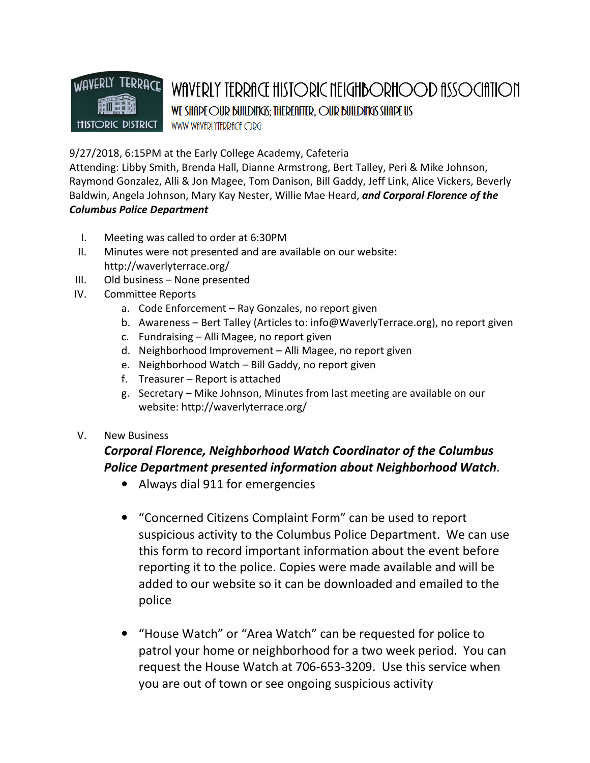## **TERRACE** WAVERLY WAVERLY TERRACE HISTORIC NEIGHBORHOOD ASSOCIATION WE SHIPE OUR BUILDING; THEREITER, OUR BUILDING SHIPE US WWW.WfIVERLYTERRfICE.ORG

## 9/27/2018, 6:15PM at the Early College Academy, Cafeteria

Attending: Libby Smith, Brenda Hall, Dianne Armstrong, Bert Talley, Peri & Mike Johnson, Raymond Gonzalez, Alli & Jon Magee, Tom Danison, Bill Gaddy, Jeff Link, Alice Vickers, Beverly Baldwin, Angela Johnson, Mary Kay Nester, Willie Mae Heard, and Corporal Florence of the Columbus Police Department

- I. Meeting was called to order at 6:30PM
- II. Minutes were not presented and are available on our website: http://waverlyterrace.org/
- III. Old business None presented
- IV. Committee Reports
	- a. Code Enforcement Ray Gonzales, no report given
	- b. Awareness Bert Talley (Articles to: info@WaverlyTerrace.org), no report given
	- c. Fundraising Alli Magee, no report given
	- d. Neighborhood Improvement Alli Magee, no report given
	- e. Neighborhood Watch Bill Gaddy, no report given
	- f. Treasurer Report is attached
	- g. Secretary Mike Johnson, Minutes from last meeting are available on our website: http://waverlyterrace.org/
- V. New Business

## Corporal Florence, Neighborhood Watch Coordinator of the Columbus Police Department presented information about Neighborhood Watch.

- Always dial 911 for emergencies
- "Concerned Citizens Complaint Form" can be used to report suspicious activity to the Columbus Police Department. We can use this form to record important information about the event before reporting it to the police. Copies were made available and will be added to our website so it can be downloaded and emailed to the police
- "House Watch" or "Area Watch" can be requested for police to patrol your home or neighborhood for a two week period. You can request the House Watch at 706-653-3209. Use this service when you are out of town or see ongoing suspicious activity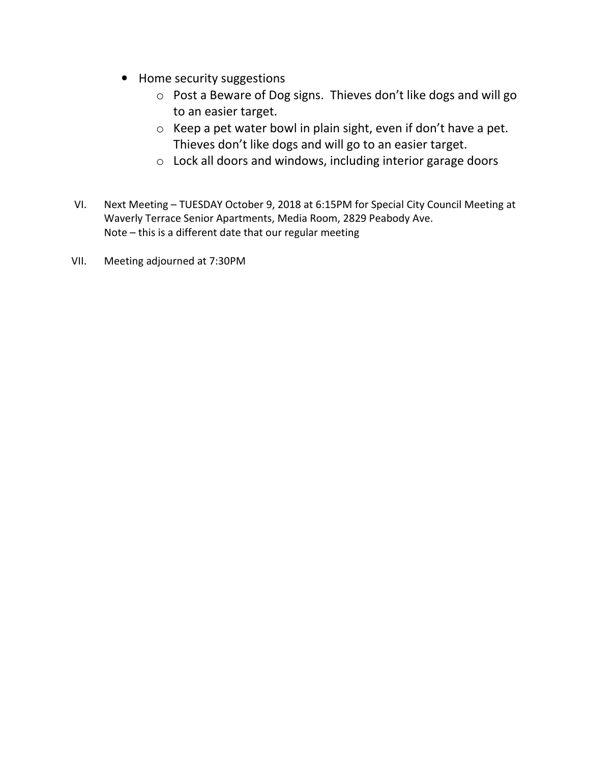- Home security suggestions
	- o Post a Beware of Dog signs. Thieves don't like dogs and will go to an easier target.
	- o Keep a pet water bowl in plain sight, even if don't have a pet. Thieves don't like dogs and will go to an easier target.
	- o Lock all doors and windows, including interior garage doors
- VI. Next Meeting TUESDAY October 9, 2018 at 6:15PM for Special City Council Meeting at Waverly Terrace Senior Apartments, Media Room, 2829 Peabody Ave. Note – this is a different date that our regular meeting
- VII. Meeting adjourned at 7:30PM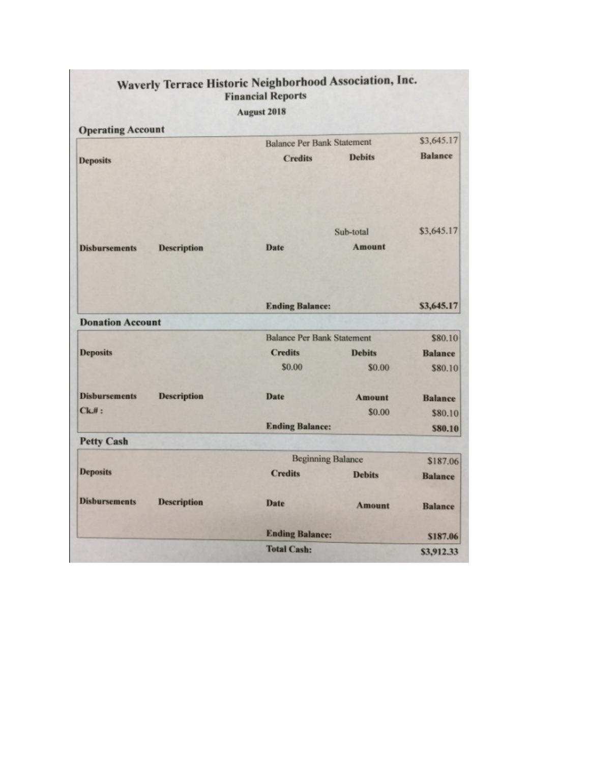| <b>Financial Reports</b><br><b>August 2018</b> |                    |                                   |               |                |
|------------------------------------------------|--------------------|-----------------------------------|---------------|----------------|
|                                                |                    |                                   |               |                |
| <b>Deposits</b>                                |                    | <b>Credits</b>                    | <b>Debits</b> | <b>Balance</b> |
|                                                |                    |                                   | Sub-total     | \$3,645.17     |
| <b>Disbursements</b>                           | <b>Description</b> | Date                              | <b>Amount</b> |                |
|                                                |                    | <b>Ending Balance:</b>            |               | \$3,645.17     |
| <b>Donation Account</b>                        |                    |                                   |               |                |
|                                                |                    | <b>Balance Per Bank Statement</b> |               | \$80.10        |
| <b>Deposits</b>                                |                    | <b>Credits</b>                    | <b>Debits</b> | <b>Balance</b> |
|                                                |                    | \$0.00                            | \$0.00        | \$80.10        |
| <b>Disbursements</b>                           | <b>Description</b> | <b>Date</b>                       | <b>Amount</b> | <b>Balance</b> |
| $Ck$ #:                                        |                    |                                   | \$0.00        | \$80.10        |
|                                                |                    | <b>Ending Balance:</b>            |               | \$80.10        |
| <b>Petty Cash</b>                              |                    |                                   |               |                |
|                                                |                    | <b>Beginning Balance</b>          |               | \$187.06       |
| <b>Deposits</b>                                |                    | <b>Credits</b>                    | <b>Debits</b> | <b>Balance</b> |
| <b>Disbursements</b>                           | <b>Description</b> | <b>Date</b>                       | <b>Amount</b> | <b>Balance</b> |
|                                                |                    | <b>Ending Balance:</b>            |               | \$187.06       |
|                                                |                    | <b>Total Cash:</b>                |               | \$3,912.33     |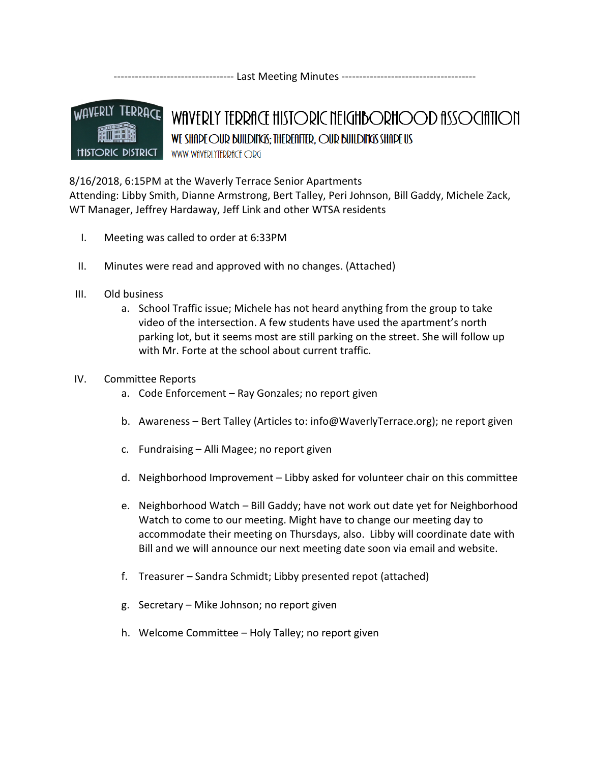---------------------------------- Last Meeting Minutes --------------------------------------



WAVERLY TERRACE HISTORIC NEIGHBORHOOD ASSOCIATION WE SHAPE OUR BUILDINGS: THEREAFTER, OUR BUILDINGS SHAPE US WWW.WfIVERLYTERRfICE.ORG

8/16/2018, 6:15PM at the Waverly Terrace Senior Apartments

Attending: Libby Smith, Dianne Armstrong, Bert Talley, Peri Johnson, Bill Gaddy, Michele Zack, WT Manager, Jeffrey Hardaway, Jeff Link and other WTSA residents

- I. Meeting was called to order at 6:33PM
- II. Minutes were read and approved with no changes. (Attached)
- III. Old business
	- a. School Traffic issue; Michele has not heard anything from the group to take video of the intersection. A few students have used the apartment's north parking lot, but it seems most are still parking on the street. She will follow up with Mr. Forte at the school about current traffic.
- IV. Committee Reports
	- a. Code Enforcement Ray Gonzales; no report given
	- b. Awareness Bert Talley (Articles to: info@WaverlyTerrace.org); ne report given
	- c. Fundraising Alli Magee; no report given
	- d. Neighborhood Improvement Libby asked for volunteer chair on this committee
	- e. Neighborhood Watch Bill Gaddy; have not work out date yet for Neighborhood Watch to come to our meeting. Might have to change our meeting day to accommodate their meeting on Thursdays, also. Libby will coordinate date with Bill and we will announce our next meeting date soon via email and website.
	- f. Treasurer Sandra Schmidt; Libby presented repot (attached)
	- g. Secretary Mike Johnson; no report given
	- h. Welcome Committee Holy Talley; no report given